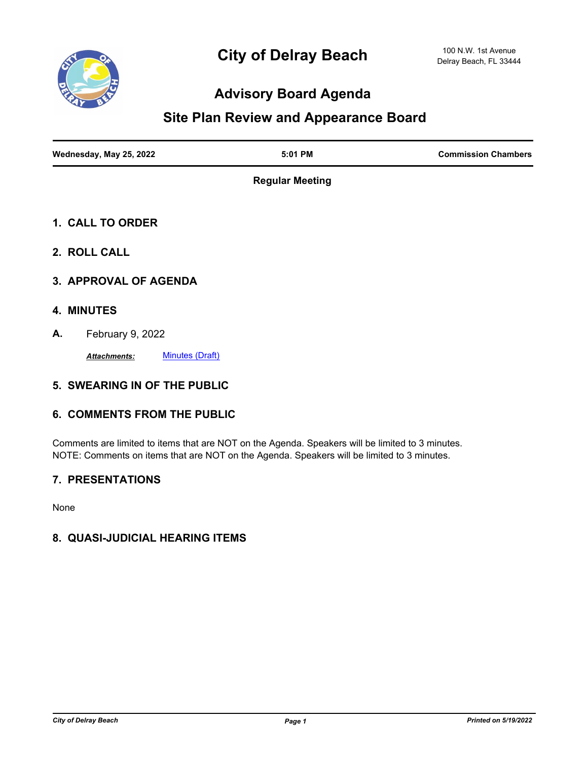

## **Advisory Board Agenda**

# **Site Plan Review and Appearance Board**

| Wednesday, May 25, 2022 | $5:01$ PM | <b>Commission Chambers</b> |
|-------------------------|-----------|----------------------------|
|                         |           |                            |

**Regular Meeting**

- **1. CALL TO ORDER**
- **2. ROLL CALL**
- **3. APPROVAL OF AGENDA**
- **4. MINUTES**
- **A.** February 9, 2022

*Attachments:* [Minutes \(Draft\)](http://delraybeach.legistar.com/gateway.aspx?M=F&ID=b782d539-8a82-43be-9999-6eecd83d4ccc.pdf)

#### **5. SWEARING IN OF THE PUBLIC**

#### **6. COMMENTS FROM THE PUBLIC**

Comments are limited to items that are NOT on the Agenda. Speakers will be limited to 3 minutes. NOTE: Comments on items that are NOT on the Agenda. Speakers will be limited to 3 minutes.

#### **7. PRESENTATIONS**

None

### **8. QUASI-JUDICIAL HEARING ITEMS**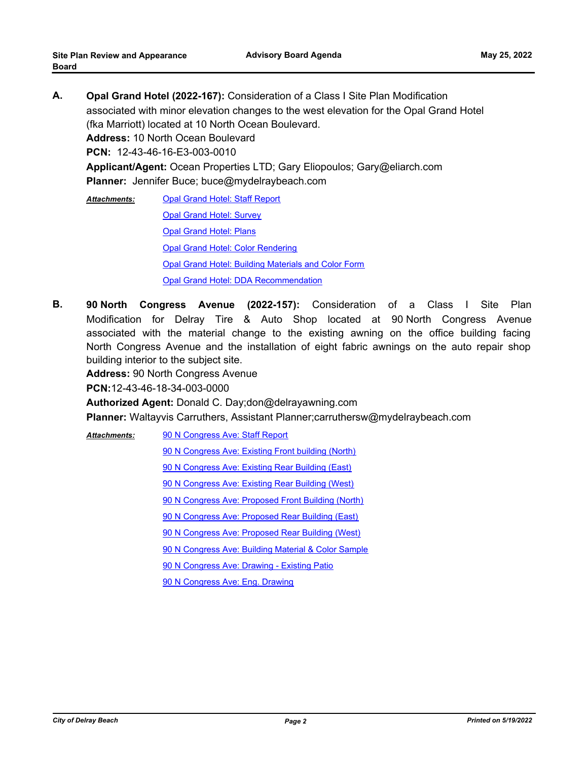- **A. Opal Grand Hotel (2022-167):** Consideration of a Class I Site Plan Modification associated with minor elevation changes to the west elevation for the Opal Grand Hotel (fka Marriott) located at 10 North Ocean Boulevard. **Address:** 10 North Ocean Boulevard **PCN:** 12-43-46-16-E3-003-0010 **Applicant/Agent:** Ocean Properties LTD; Gary Eliopoulos; Gary@eliarch.com **Planner:** Jennifer Buce; buce@mydelraybeach.com
	- [Opal Grand Hotel: Staff Report](http://delraybeach.legistar.com/gateway.aspx?M=F&ID=c49e2e91-dae7-4790-b42c-c6aa57dfa88c.docx) [Opal Grand Hotel: Survey](http://delraybeach.legistar.com/gateway.aspx?M=F&ID=78a9830b-5d72-486e-8bd2-3b2ba183ef64.pdf) [Opal Grand Hotel: Plans](http://delraybeach.legistar.com/gateway.aspx?M=F&ID=729ae744-cb7e-42aa-a6b5-5c97801091e9.pdf) [Opal Grand Hotel: Color Rendering](http://delraybeach.legistar.com/gateway.aspx?M=F&ID=f8018248-1962-4b5d-9015-66570a47457e.pdf) [Opal Grand Hotel: Building Materials and Color Form](http://delraybeach.legistar.com/gateway.aspx?M=F&ID=08756dbc-e92b-4651-a373-bc5550a71b54.pdf) [Opal Grand Hotel: DDA Recommendation](http://delraybeach.legistar.com/gateway.aspx?M=F&ID=815dcc6e-e2a1-4fdb-886f-5b7933d3a265.pdf) *Attachments:*
- **B. 90 North Congress Avenue (2022-157):** Consideration of a Class I Site Plan Modification for Delray Tire & Auto Shop located at 90 North Congress Avenue associated with the material change to the existing awning on the office building facing North Congress Avenue and the installation of eight fabric awnings on the auto repair shop building interior to the subject site.

**Address:** 90 North Congress Avenue

**PCN:**12-43-46-18-34-003-0000

**Authorized Agent:** Donald C. Day;don@delrayawning.com

**Planner:** Waltayvis Carruthers, Assistant Planner;carruthersw@mydelraybeach.com

[90 N Congress Ave: Staff Report](http://delraybeach.legistar.com/gateway.aspx?M=F&ID=d5dec1b7-3504-4739-878c-fc92f58fd2d0.pdf) *Attachments:*

[90 N Congress Ave: Existing Front building \(North\)](http://delraybeach.legistar.com/gateway.aspx?M=F&ID=e9570a49-3543-48f3-8410-53392ba58932.jpg)

[90 N Congress Ave: Existing Rear Building \(East\)](http://delraybeach.legistar.com/gateway.aspx?M=F&ID=62cec44b-7f4b-4e46-91a9-0ace9453a180.jpg)

[90 N Congress Ave: Existing Rear Building \(West\)](http://delraybeach.legistar.com/gateway.aspx?M=F&ID=28f9c385-b9c4-4448-bb5e-555336e7ff71.jpg)

[90 N Congress Ave: Proposed Front Building \(North\)](http://delraybeach.legistar.com/gateway.aspx?M=F&ID=8d6b6005-61d8-43e9-a91a-4e7ac5212e78.jpg)

[90 N Congress Ave: Proposed Rear Building \(East\)](http://delraybeach.legistar.com/gateway.aspx?M=F&ID=6c87c334-1391-4904-9fe0-0c30acfa193d.jpg)

[90 N Congress Ave: Proposed Rear Building \(West\)](http://delraybeach.legistar.com/gateway.aspx?M=F&ID=ffc21dae-2e7c-4f16-bfa2-a5c9f0533c02.jpg)

[90 N Congress Ave: Building Material & Color Sample](http://delraybeach.legistar.com/gateway.aspx?M=F&ID=f01b5440-4ca7-4226-8968-b29fd5ba1264.pdf)

[90 N Congress Ave: Drawing - Existing Patio](http://delraybeach.legistar.com/gateway.aspx?M=F&ID=8957b192-4270-47d2-b0da-2732aadf71ae.pdf)

[90 N Congress Ave: Eng. Drawing](http://delraybeach.legistar.com/gateway.aspx?M=F&ID=ea7be5b4-7326-467c-a56b-9a7031134b34.pdf)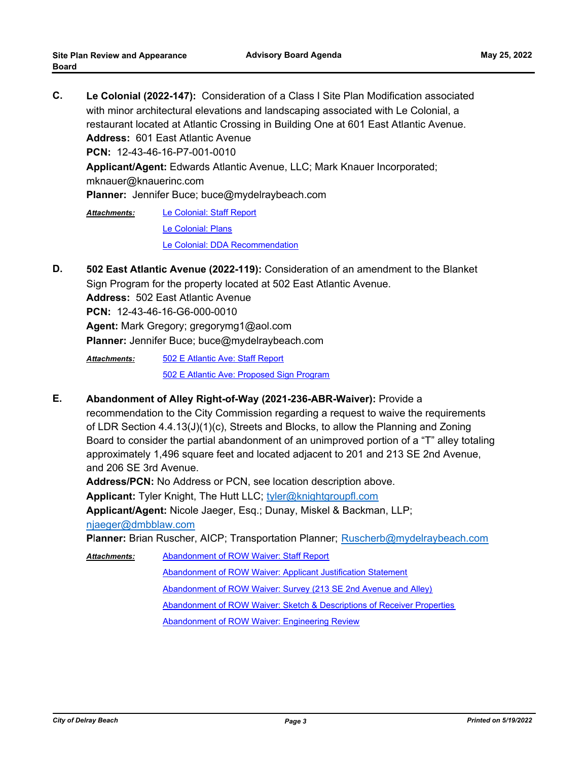**C. Le Colonial (2022-147):** Consideration of a Class I Site Plan Modification associated with minor architectural elevations and landscaping associated with Le Colonial, a restaurant located at Atlantic Crossing in Building One at 601 East Atlantic Avenue. **Address:** 601 East Atlantic Avenue **PCN:** 12-43-46-16-P7-001-0010 **Applicant/Agent:** Edwards Atlantic Avenue, LLC; Mark Knauer Incorporated; mknauer@knauerinc.com **Planner:** Jennifer Buce; buce@mydelraybeach.com [Le Colonial: Staff Report](http://delraybeach.legistar.com/gateway.aspx?M=F&ID=7a5991a3-2783-4fa5-9ed3-ab84dca03079.docx) *Attachments:*

[Le Colonial: Plans](http://delraybeach.legistar.com/gateway.aspx?M=F&ID=da8d9230-9f56-417f-9356-18a449c2290c.pdf) [Le Colonial: DDA Recommendation](http://delraybeach.legistar.com/gateway.aspx?M=F&ID=c586fa6a-3a54-4f05-bede-3a326b1f8641.pdf)

**D. 502 East Atlantic Avenue (2022-119):** Consideration of an amendment to the Blanket Sign Program for the property located at 502 East Atlantic Avenue. **Address:** 502 East Atlantic Avenue **PCN:** 12-43-46-16-G6-000-0010 **Agent:** Mark Gregory; gregorymg1@aol.com **Planner:** Jennifer Buce; buce@mydelraybeach.com

[502 E Atlantic Ave: Staff Report](http://delraybeach.legistar.com/gateway.aspx?M=F&ID=1c424abb-89b6-47f2-afa6-c8d048253721.docx) [502 E Atlantic Ave: Proposed Sign Program](http://delraybeach.legistar.com/gateway.aspx?M=F&ID=ea48562f-9e79-4244-aafe-a56c305f036e.pdf) *Attachments:*

**E. Abandonment of Alley Right-of-Way (2021-236-ABR-Waiver):** Provide a

recommendation to the City Commission regarding a request to waive the requirements of LDR Section 4.4.13(J)(1)(c), Streets and Blocks, to allow the Planning and Zoning Board to consider the partial abandonment of an unimproved portion of a "T" alley totaling approximately 1,496 square feet and located adjacent to 201 and 213 SE 2nd Avenue, and 206 SE 3rd Avenue.

**Address/PCN:** No Address or PCN, see location description above.

**Applicant:** Tyler Knight, The Hutt LLC; tyler@knightgroupfl.com

**Applicant/Agent:** Nicole Jaeger, Esq.; Dunay, Miskel & Backman, LLP;

njaeger@dmbblaw.com

**P**l**anner:** Brian Ruscher, AICP; Transportation Planner; Ruscherb@mydelraybeach.com

[Abandonment of ROW Waiver: Staff Report](http://delraybeach.legistar.com/gateway.aspx?M=F&ID=d3cda84c-cb71-4b65-8c76-be903d1c9410.docx) [Abandonment of ROW Waiver: Applicant Justification Statement](http://delraybeach.legistar.com/gateway.aspx?M=F&ID=0ef3ae2d-58eb-40a4-b3c0-f67e0a8036a8.pdf) [Abandonment of ROW Waiver: Survey \(213 SE 2nd Avenue and Alley\)](http://delraybeach.legistar.com/gateway.aspx?M=F&ID=f2b67ab6-67bb-4b89-89d1-9f3ff2678f60.pdf) [Abandonment of ROW Waiver: Sketch & Descriptions of Receiver Properties](http://delraybeach.legistar.com/gateway.aspx?M=F&ID=083a094b-72d7-42ff-a2a5-b40d34491083.pdf) [Abandonment of ROW Waiver: Engineering Review](http://delraybeach.legistar.com/gateway.aspx?M=F&ID=0f41f511-96b8-445b-bfdc-512933a69da0.pdf) *Attachments:*